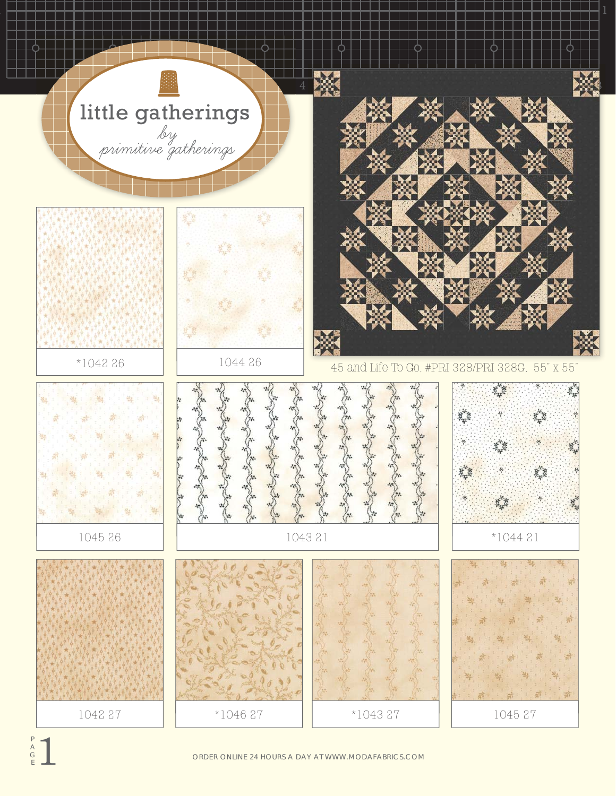

ORDER ONLINE 24 HOURS A DAY AT WWW.MODAFABRICS.COM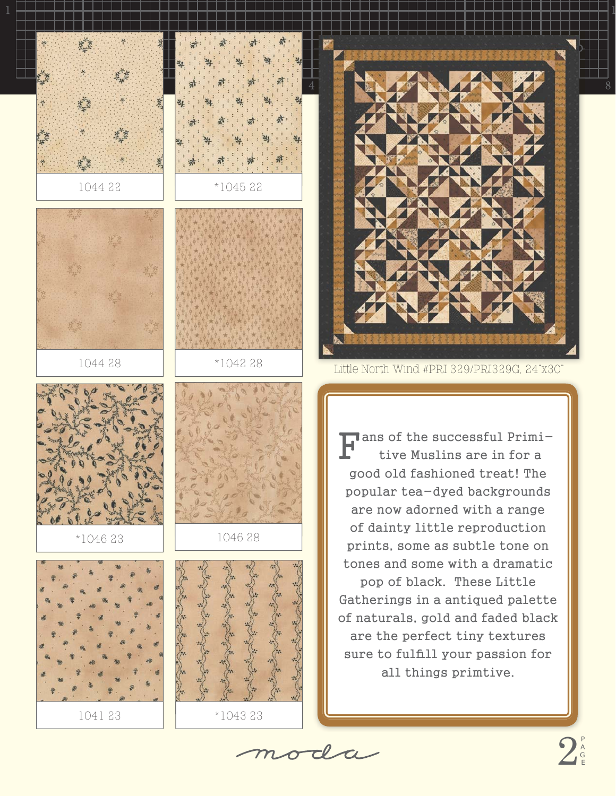



 $\blacksquare$  ans of the successful Primitive Muslins are in for a good old fashioned treat! The popular tea-dyed backgrounds are now adorned with a range of dainty little reproduction prints, some as subtle tone on tones and some with a dramatic pop of black. These Little Gatherings in a antiqued palette of naturals, gold and faded black are the perfect tiny textures sure to fulfill your passion for all things primtive.

moda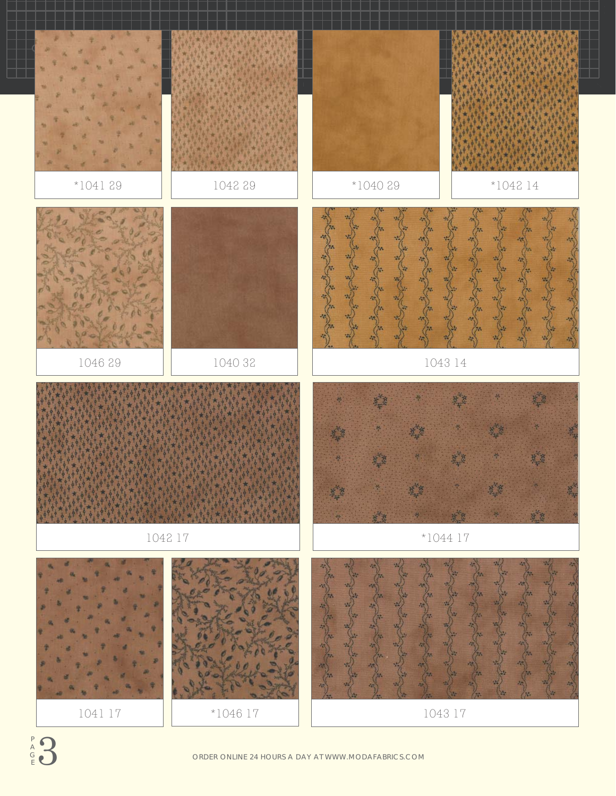



ORDER ONLINE 24 HOURS A DAY AT WWW.MODAFABRICS.COM